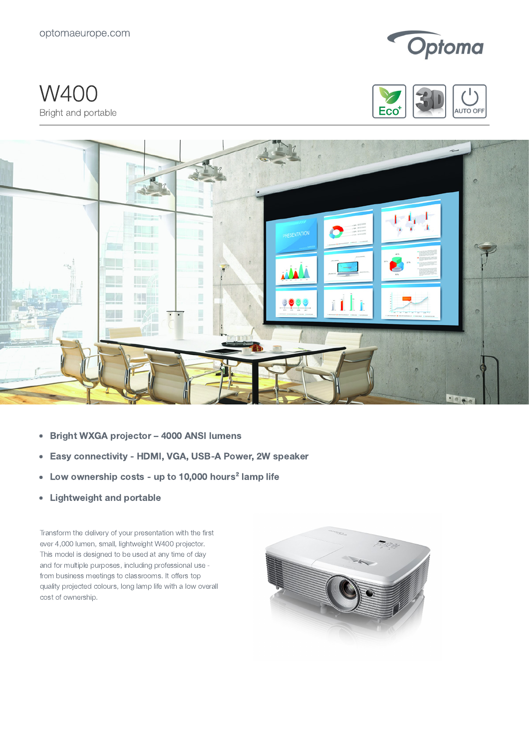optomaeurope.com



W400 Bright and portable





- Bright WXGA projector 4000 ANSI lumens  $\bullet$
- Easy connectivity HDMI, VGA, USB-A Power, 2W speaker  $\bullet$
- Low ownership costs up to 10,000 hours<sup>2</sup> lamp life  $\bullet$
- Lightweight and portable  $\bullet$

Transform the delivery of your presentation with the first ever 4,000 lumen, small, lightweight W400 projector. This model is designed to be used at any time of day and for multiple purposes, including professional use from business meetings to classrooms. It offers top quality projected colours, long lamp life with a low overall cost of ownership.